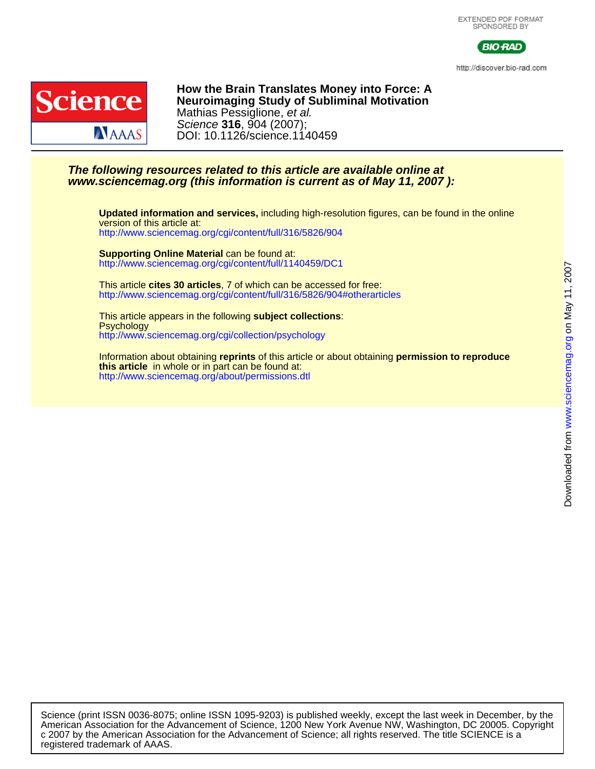



http://discover.bio-rad.com



DOI: 10.1126/science.1140459 Science **316**, 904 (2007); Mathias Pessiglione, et al. **Neuroimaging Study of Subliminal Motivation How the Brain Translates Money into Force: A**

### **www.sciencemag.org (this information is current as of May 11, 2007 ): The following resources related to this article are available online at**

<http://www.sciencemag.org/cgi/content/full/316/5826/904> version of this article at: **Updated information and services,** including high-resolution figures, can be found in the online

<http://www.sciencemag.org/cgi/content/full/1140459/DC1> **Supporting Online Material** can be found at:

<http://www.sciencemag.org/cgi/content/full/316/5826/904#otherarticles> This article **cites 30 articles**, 7 of which can be accessed for free:

<http://www.sciencemag.org/cgi/collection/psychology> **Psychology** This article appears in the following **subject collections**:

<http://www.sciencemag.org/about/permissions.dtl> **this article** in whole or in part can be found at: Information about obtaining **reprints** of this article or about obtaining **permission to reproduce**

registered trademark of AAAS. c 2007 by the American Association for the Advancement of Science; all rights reserved. The title SCIENCE is a American Association for the Advancement of Science, 1200 New York Avenue NW, Washington, DC 20005. Copyright Science (print ISSN 0036-8075; online ISSN 1095-9203) is published weekly, except the last week in December, by the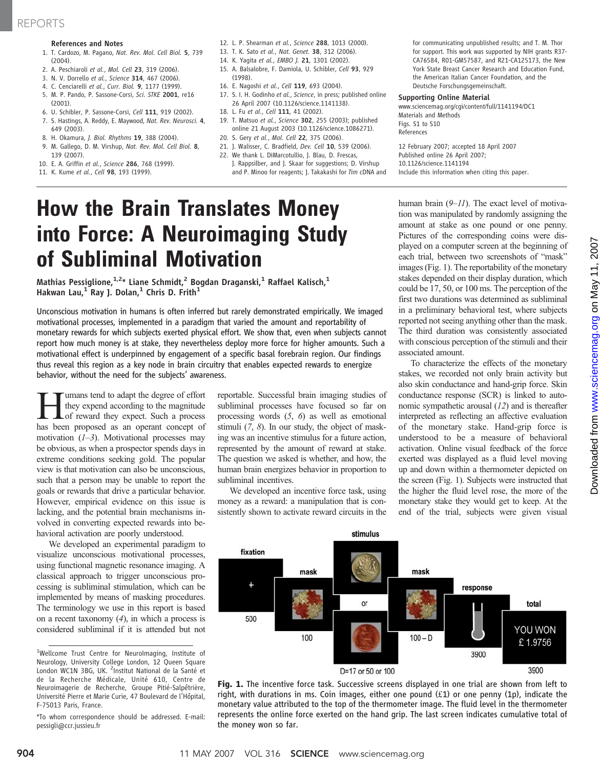## REPORTS

#### References and Notes

- 1. T. Cardozo, M. Pagano, Nat. Rev. Mol. Cell Biol. 5, 739 (2004).
- 2. A. Peschiaroli et al., Mol. Cell 23, 319 (2006).
- 3. N. V. Dorrello et al., Science 314, 467 (2006).
- 4. C. Cenciarelli et al., Curr. Biol. 9, 1177 (1999).
- 5. M. P. Pando, P. Sassone-Corsi, Sci. STKE 2001, re16 (2001).
- 6. U. Schibler, P. Sassone-Corsi, Cell 111, 919 (2002).
- 7. S. Hastings, A. Reddy, E. Maywood, Nat. Rev. Neurosci. 4, 649 (2003).
- 8. H. Okamura, J. Biol. Rhythms 19, 388 (2004).
- 9. M. Gallego, D. M. Virshup, Nat. Rev. Mol. Cell Biol. 8, 139 (2007).
- 10. E. A. Griffin et al., Science 286, 768 (1999).
- 11. K. Kume et al., Cell 98, 193 (1999).
- 12. L. P. Shearman et al., Science 288, 1013 (2000).
- 13. T. K. Sato et al., Nat. Genet. 38, 312 (2006).
- 14. K. Yagita et al., EMBO 1, 21, 1301 (2002).
- 15. A. Balsalobre, F. Damiola, U. Schibler, Cell 93, 929 (1998).
- 16. E. Nagoshi et al., Cell 119, 693 (2004).
- 17. S. I. H. Godinho et al., Science, in press; published online 26 April 2007 (10.1126/science.1141138).
- 18. L. Fu et al., Cell 111, 41 (2002).
- 19. T. Matsuo et al., Science 302, 255 (2003); published online 21 August 2003 (10.1126/science.1086271).
- 20. S. Gery et al., Mol. Cell 22, 375 (2006).
- 21. J. Walisser, C. Bradfield, Dev. Cell 10, 539 (2006).
- 22. We thank L. DiMarcotullio, J. Blau, D. Frescas, J. Rappsilber, and J. Skaar for suggestions; D. Virshup and P. Minoo for reagents; J. Takakashi for Tim cDNA and
- for communicating unpublished results; and T. M. Thor for support. This work was supported by NIH grants R37- CA76584, R01-GM57587, and R21-CA125173, the New York State Breast Cancer Research and Education Fund, the American Italian Cancer Foundation, and the Deutsche Forschungsgemeinschaft.

#### Supporting Online Material

www.sciencemag.org/cgi/content/full/1141194/DC1 Materials and Methods Figs. S1 to S10 References

12 February 2007; accepted 18 April 2007 Published online 26 April 2007; 10.1126/science.1141194 Include this information when citing this paper.

# How the Brain Translates Money into Force: A Neuroimaging Study of Subliminal Motivation

Mathias Pessiglione,  $1.2*$  Liane Schmidt, <sup>2</sup> Bogdan Draganski, <sup>1</sup> Raffael Kalisch, <sup>1</sup> Hakwan Lau,<sup>1</sup> Ray J. Dolan,<sup>1</sup> Chris D. Frith<sup>1</sup>

Unconscious motivation in humans is often inferred but rarely demonstrated empirically. We imaged motivational processes, implemented in a paradigm that varied the amount and reportability of monetary rewards for which subjects exerted physical effort. We show that, even when subjects cannot report how much money is at stake, they nevertheless deploy more force for higher amounts. Such a motivational effect is underpinned by engagement of a specific basal forebrain region. Our findings thus reveal this region as a key node in brain circuitry that enables expected rewards to energize behavior, without the need for the subjects' awareness.

umans tend to adapt the degree of effort they expend according to the magnitude of reward they expect. Such a process has been proposed as an operant concept of motivation  $(1-3)$ . Motivational processes may be obvious, as when a prospector spends days in extreme conditions seeking gold. The popular view is that motivation can also be unconscious, such that a person may be unable to report the goals or rewards that drive a particular behavior. However, empirical evidence on this issue is lacking, and the potential brain mechanisms involved in converting expected rewards into behavioral activation are poorly understood.

We developed an experimental paradigm to visualize unconscious motivational processes, using functional magnetic resonance imaging. A classical approach to trigger unconscious processing is subliminal stimulation, which can be implemented by means of masking procedures. The terminology we use in this report is based on a recent taxonomy  $(4)$ , in which a process is considered subliminal if it is attended but not

reportable. Successful brain imaging studies of subliminal processes have focused so far on processing words (5, 6) as well as emotional stimuli  $(7, 8)$ . In our study, the object of masking was an incentive stimulus for a future action, represented by the amount of reward at stake. The question we asked is whether, and how, the human brain energizes behavior in proportion to subliminal incentives.

We developed an incentive force task, using money as a reward: a manipulation that is consistently shown to activate reward circuits in the human brain (9–11). The exact level of motivation was manipulated by randomly assigning the amount at stake as one pound or one penny. Pictures of the corresponding coins were displayed on a computer screen at the beginning of each trial, between two screenshots of "mask" images (Fig. 1). The reportability of the monetary stakes depended on their display duration, which could be 17, 50, or 100 ms. The perception of the first two durations was determined as subliminal in a preliminary behavioral test, where subjects reported not seeing anything other than the mask. The third duration was consistently associated with conscious perception of the stimuli and their associated amount.

To characterize the effects of the monetary stakes, we recorded not only brain activity but also skin conductance and hand-grip force. Skin conductance response (SCR) is linked to autonomic sympathetic arousal (12) and is thereafter interpreted as reflecting an affective evaluation of the monetary stake. Hand-grip force is understood to be a measure of behavioral activation. Online visual feedback of the force exerted was displayed as a fluid level moving up and down within a thermometer depicted on the screen (Fig. 1). Subjects were instructed that the higher the fluid level rose, the more of the monetary stake they would get to keep. At the end of the trial, subjects were given visual



Fig. 1. The incentive force task. Successive screens displayed in one trial are shown from left to right, with durations in ms. Coin images, either one pound  $(f1)$  or one penny (1p), indicate the monetary value attributed to the top of the thermometer image. The fluid level in the thermometer represents the online force exerted on the hand grip. The last screen indicates cumulative total of the money won so far.

<sup>&</sup>lt;sup>1</sup>Wellcome Trust Centre for NeuroImaging, Institute of Neurology, University College London, 12 Queen Square London WC1N 3BG, UK. <sup>2</sup>Institut National de la Santé et de la Recherche Médicale, Unité 610, Centre de Neuroimagerie de Recherche, Groupe Pitié-Salpêtrière, Université Pierre et Marie Curie, 47 Boulevard de l*'*Hôpital, F-75013 Paris, France.

<sup>\*</sup>To whom correspondence should be addressed. E-mail: pessigli@ccr.jussieu.fr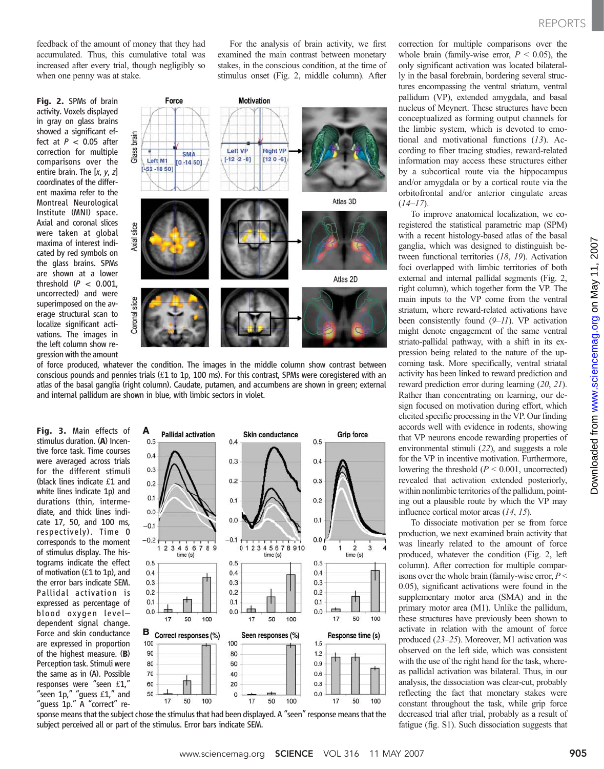feedback of the amount of money that they had accumulated. Thus, this cumulative total was increased after every trial, though negligibly so when one penny was at stake.

Fig. 2. SPMs of brain activity. Voxels displayed in gray on glass brains showed a significant effect at  $P < 0.05$  after correction for multiple comparisons over the entire brain. The [x, y, z] coordinates of the different maxima refer to the Montreal Neurological Institute (MNI) space. Axial and coronal slices were taken at global maxima of interest indicated by red symbols on the glass brains. SPMs are shown at a lower threshold  $(P < 0.001,$ uncorrected) and were superimposed on the average structural scan to localize significant activations. The images in the left column show regression with the amount



For the analysis of brain activity, we first examined the main contrast between monetary stakes, in the conscious condition, at the time of stimulus onset (Fig. 2, middle column). After

of force produced, whatever the condition. The images in the middle column show contrast between conscious pounds and pennies trials (£1 to 1p, 100 ms). For this contrast, SPMs were coregistered with an atlas of the basal ganglia (right column). Caudate, putamen, and accumbens are shown in green; external and internal pallidum are shown in blue, with limbic sectors in violet.

Fig. 3. Main effects of stimulus duration. (A) Incentive force task. Time courses were averaged across trials for the different stimuli (black lines indicate £1 and white lines indicate 1p) and durations (thin, intermediate, and thick lines indicate 17, 50, and 100 ms, respectively). Time 0 corresponds to the moment of stimulus display. The histograms indicate the effect of motivation (£1 to 1p), and the error bars indicate SEM. Pallidal activation is expressed as percentage of blood oxygen level– dependent signal change. Force and skin conductance are expressed in proportion of the highest measure.  $(B)$ Perception task. Stimuli were the same as in (A). Possible responses were "seen £1," "seen  $1p$ ," "guess  $£1$ ," and "guess 1p." A "correct" re-



sponse means that the subject chose the stimulus that had been displayed. A "seen" response means that the subject perceived all or part of the stimulus. Error bars indicate SEM.

correction for multiple comparisons over the whole brain (family-wise error,  $P < 0.05$ ), the only significant activation was located bilaterally in the basal forebrain, bordering several structures encompassing the ventral striatum, ventral pallidum (VP), extended amygdala, and basal nucleus of Meynert. These structures have been conceptualized as forming output channels for the limbic system, which is devoted to emotional and motivational functions  $(13)$ . According to fiber tracing studies, reward-related information may access these structures either by a subcortical route via the hippocampus and/or amygdala or by a cortical route via the orbitofrontal and/or anterior cingulate areas  $(14–17)$ .

To improve anatomical localization, we coregistered the statistical parametric map (SPM) with a recent histology-based atlas of the basal ganglia, which was designed to distinguish between functional territories (18, 19). Activation foci overlapped with limbic territories of both external and internal pallidal segments (Fig. 2, right column), which together form the VP. The main inputs to the VP come from the ventral striatum, where reward-related activations have been consistently found (9–11). VP activation might denote engagement of the same ventral striato-pallidal pathway, with a shift in its expression being related to the nature of the upcoming task. More specifically, ventral striatal activity has been linked to reward prediction and reward prediction error during learning (20, 21). Rather than concentrating on learning, our design focused on motivation during effort, which elicited specific processing in the VP. Our finding accords well with evidence in rodents, showing that VP neurons encode rewarding properties of environmental stimuli (22), and suggests a role for the VP in incentive motivation. Furthermore, lowering the threshold  $(P < 0.001$ , uncorrected) revealed that activation extended posteriorly, within nonlimbic territories of the pallidum, pointing out a plausible route by which the VP may influence cortical motor areas (14, 15).

To dissociate motivation per se from force production, we next examined brain activity that was linearly related to the amount of force produced, whatever the condition (Fig. 2, left column). After correction for multiple comparisons over the whole brain (family-wise error,  $P <$ 0.05), significant activations were found in the supplementary motor area (SMA) and in the primary motor area (M1). Unlike the pallidum, these structures have previously been shown to activate in relation with the amount of force produced (23–25). Moreover, M1 activation was observed on the left side, which was consistent with the use of the right hand for the task, whereas pallidal activation was bilateral. Thus, in our analysis, the dissociation was clear-cut, probably reflecting the fact that monetary stakes were constant throughout the task, while grip force decreased trial after trial, probably as a result of fatigue (fig. S1). Such dissociation suggests that